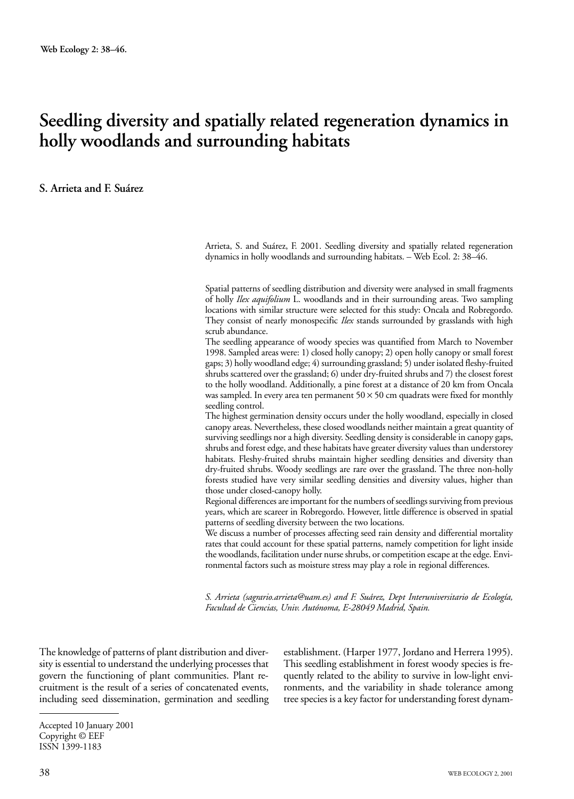# **Seedling diversity and spatially related regeneration dynamics in holly woodlands and surrounding habitats**

#### **S. Arrieta and F. Suárez**

Arrieta, S. and Suárez, F. 2001. Seedling diversity and spatially related regeneration dynamics in holly woodlands and surrounding habitats. – Web Ecol. 2: 38–46.

Spatial patterns of seedling distribution and diversity were analysed in small fragments of holly *Ilex aquifolium* L. woodlands and in their surrounding areas. Two sampling locations with similar structure were selected for this study: Oncala and Robregordo. They consist of nearly monospecific *Ilex* stands surrounded by grasslands with high scrub abundance.

The seedling appearance of woody species was quantified from March to November 1998. Sampled areas were: 1) closed holly canopy; 2) open holly canopy or small forest gaps; 3) holly woodland edge; 4) surrounding grassland; 5) under isolated fleshy-fruited shrubs scattered over the grassland; 6) under dry-fruited shrubs and 7) the closest forest to the holly woodland. Additionally, a pine forest at a distance of 20 km from Oncala was sampled. In every area ten permanent  $50 \times 50$  cm quadrats were fixed for monthly seedling control.

The highest germination density occurs under the holly woodland, especially in closed canopy areas. Nevertheless, these closed woodlands neither maintain a great quantity of surviving seedlings nor a high diversity. Seedling density is considerable in canopy gaps, shrubs and forest edge, and these habitats have greater diversity values than understorey habitats. Fleshy-fruited shrubs maintain higher seedling densities and diversity than dry-fruited shrubs. Woody seedlings are rare over the grassland. The three non-holly forests studied have very similar seedling densities and diversity values, higher than those under closed-canopy holly.

Regional differences are important for the numbers of seedlings surviving from previous years, which are scareer in Robregordo. However, little difference is observed in spatial patterns of seedling diversity between the two locations.

We discuss a number of processes affecting seed rain density and differential mortality rates that could account for these spatial patterns, namely competition for light inside the woodlands, facilitation under nurse shrubs, or competition escape at the edge. Environmental factors such as moisture stress may play a role in regional differences.

*S. Arrieta (sagrario.arrieta@uam.es) and F. Suárez, Dept Interuniversitario de Ecología, Facultad de Ciencias, Univ. Autónoma, E-28049 Madrid, Spain.*

The knowledge of patterns of plant distribution and diversity is essential to understand the underlying processes that govern the functioning of plant communities. Plant recruitment is the result of a series of concatenated events, including seed dissemination, germination and seedling establishment. (Harper 1977, Jordano and Herrera 1995). This seedling establishment in forest woody species is frequently related to the ability to survive in low-light environments, and the variability in shade tolerance among tree species is a key factor for understanding forest dynam-

Accepted 10 January 2001 Copyright © EEF ISSN 1399-1183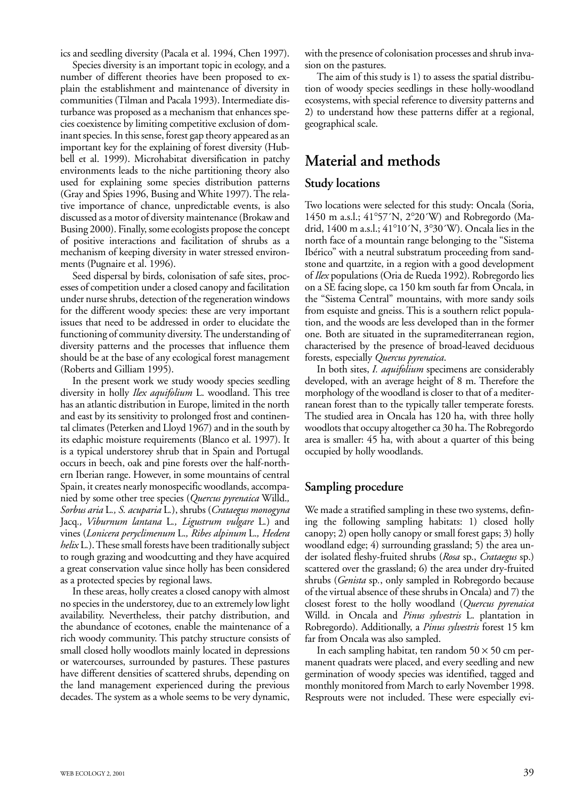ics and seedling diversity (Pacala et al. 1994, Chen 1997).

Species diversity is an important topic in ecology, and a number of different theories have been proposed to explain the establishment and maintenance of diversity in communities (Tilman and Pacala 1993). Intermediate disturbance was proposed as a mechanism that enhances species coexistence by limiting competitive exclusion of dominant species. In this sense, forest gap theory appeared as an important key for the explaining of forest diversity (Hubbell et al. 1999). Microhabitat diversification in patchy environments leads to the niche partitioning theory also used for explaining some species distribution patterns (Gray and Spies 1996, Busing and White 1997). The relative importance of chance, unpredictable events, is also discussed as a motor of diversity maintenance (Brokaw and Busing 2000). Finally, some ecologists propose the concept of positive interactions and facilitation of shrubs as a mechanism of keeping diversity in water stressed environments (Pugnaire et al. 1996).

Seed dispersal by birds, colonisation of safe sites, processes of competition under a closed canopy and facilitation under nurse shrubs, detection of the regeneration windows for the different woody species: these are very important issues that need to be addressed in order to elucidate the functioning of community diversity. The understanding of diversity patterns and the processes that influence them should be at the base of any ecological forest management (Roberts and Gilliam 1995).

In the present work we study woody species seedling diversity in holly *Ilex aquifolium* L. woodland. This tree has an atlantic distribution in Europe, limited in the north and east by its sensitivity to prolonged frost and continental climates (Peterken and Lloyd 1967) and in the south by its edaphic moisture requirements (Blanco et al. 1997). It is a typical understorey shrub that in Spain and Portugal occurs in beech, oak and pine forests over the half-northern Iberian range. However, in some mountains of central Spain, it creates nearly monospecific woodlands, accompanied by some other tree species (*Quercus pyrenaica* Willd.*, Sorbus aria* L*., S. acuparia* L*.*), shrubs (*Crataegus monogyna* Jacq*., Viburnum lantana* L*., Ligustrum vulgare* L*.*) and vines (*Lonicera peryclimenum* L.*, Ribes alpinum* L.*, Hedera helix* L*.*). These small forests have been traditionally subject to rough grazing and woodcutting and they have acquired a great conservation value since holly has been considered as a protected species by regional laws.

In these areas, holly creates a closed canopy with almost no species in the understorey, due to an extremely low light availability. Nevertheless, their patchy distribution, and the abundance of ecotones, enable the maintenance of a rich woody community. This patchy structure consists of small closed holly woodlots mainly located in depressions or watercourses, surrounded by pastures. These pastures have different densities of scattered shrubs, depending on the land management experienced during the previous decades. The system as a whole seems to be very dynamic,

with the presence of colonisation processes and shrub invasion on the pastures.

The aim of this study is 1) to assess the spatial distribution of woody species seedlings in these holly-woodland ecosystems, with special reference to diversity patterns and 2) to understand how these patterns differ at a regional, geographical scale.

### **Material and methods**

#### **Study locations**

Two locations were selected for this study: Oncala (Soria, 1450 m a.s.l.; 41°57´N, 2°20´W) and Robregordo (Madrid, 1400 m a.s.l.; 41°10´N, 3°30´W). Oncala lies in the north face of a mountain range belonging to the "Sistema Ibérico" with a neutral substratum proceeding from sandstone and quartzite, in a region with a good development of *Ilex* populations (Oria de Rueda 1992). Robregordo lies on a SE facing slope, ca 150 km south far from Oncala, in the "Sistema Central" mountains, with more sandy soils from esquiste and gneiss. This is a southern relict population, and the woods are less developed than in the former one. Both are situated in the supramediterranean region, characterised by the presence of broad-leaved deciduous forests, especially *Quercus pyrenaica*.

In both sites, *I. aquifolium* specimens are considerably developed, with an average height of 8 m. Therefore the morphology of the woodland is closer to that of a mediterranean forest than to the typically taller temperate forests. The studied area in Oncala has 120 ha, with three holly woodlots that occupy altogether ca 30 ha. The Robregordo area is smaller: 45 ha, with about a quarter of this being occupied by holly woodlands.

#### **Sampling procedure**

We made a stratified sampling in these two systems, defining the following sampling habitats: 1) closed holly canopy; 2) open holly canopy or small forest gaps; 3) holly woodland edge; 4) surrounding grassland; 5) the area under isolated fleshy-fruited shrubs (*Rosa* sp., *Crataegus* sp.) scattered over the grassland; 6) the area under dry-fruited shrubs (*Genista* sp*.*, only sampled in Robregordo because of the virtual absence of these shrubs in Oncala) and 7) the closest forest to the holly woodland (*Quercus pyrenaica* Willd. in Oncala and *Pinus sylvestris* L. plantation in Robregordo). Additionally, a *Pinus sylvestris* forest 15 km far from Oncala was also sampled.

In each sampling habitat, ten random  $50 \times 50$  cm permanent quadrats were placed, and every seedling and new germination of woody species was identified, tagged and monthly monitored from March to early November 1998. Resprouts were not included. These were especially evi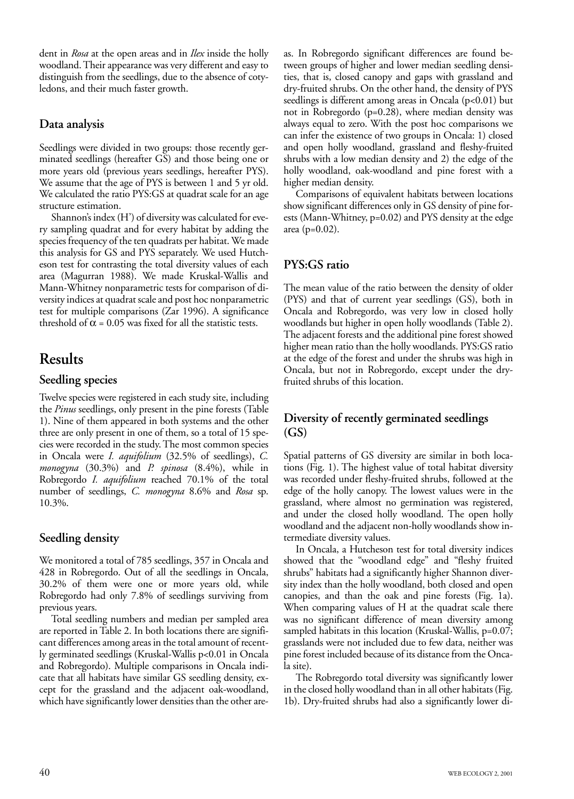dent in *Rosa* at the open areas and in *Ilex* inside the holly woodland. Their appearance was very different and easy to distinguish from the seedlings, due to the absence of cotyledons, and their much faster growth.

#### **Data analysis**

Seedlings were divided in two groups: those recently germinated seedlings (hereafter GS) and those being one or more years old (previous years seedlings, hereafter PYS). We assume that the age of PYS is between 1 and 5 yr old. We calculated the ratio PYS:GS at quadrat scale for an age structure estimation.

Shannon's index (H') of diversity was calculated for every sampling quadrat and for every habitat by adding the species frequency of the ten quadrats per habitat. We made this analysis for GS and PYS separately. We used Hutcheson test for contrasting the total diversity values of each area (Magurran 1988). We made Kruskal-Wallis and Mann-Whitney nonparametric tests for comparison of diversity indices at quadrat scale and post hoc nonparametric test for multiple comparisons (Zar 1996). A significance threshold of  $\alpha$  = 0.05 was fixed for all the statistic tests.

## **Results**

#### **Seedling species**

Twelve species were registered in each study site, including the *Pinus* seedlings, only present in the pine forests (Table 1). Nine of them appeared in both systems and the other three are only present in one of them, so a total of 15 species were recorded in the study. The most common species in Oncala were *I. aquifolium* (32.5% of seedlings), *C. monogyna* (30.3%) and *P. spinosa* (8.4%), while in Robregordo *I. aquifolium* reached 70.1% of the total number of seedlings, *C. monogyna* 8.6% and *Rosa* sp. 10.3%.

### **Seedling density**

We monitored a total of 785 seedlings, 357 in Oncala and 428 in Robregordo. Out of all the seedlings in Oncala, 30.2% of them were one or more years old, while Robregordo had only 7.8% of seedlings surviving from previous years.

Total seedling numbers and median per sampled area are reported in Table 2. In both locations there are significant differences among areas in the total amount of recently germinated seedlings (Kruskal-Wallis p<0.01 in Oncala and Robregordo). Multiple comparisons in Oncala indicate that all habitats have similar GS seedling density, except for the grassland and the adjacent oak-woodland, which have significantly lower densities than the other areas. In Robregordo significant differences are found between groups of higher and lower median seedling densities, that is, closed canopy and gaps with grassland and dry-fruited shrubs. On the other hand, the density of PYS seedlings is different among areas in Oncala (p<0.01) but not in Robregordo (p=0.28), where median density was always equal to zero. With the post hoc comparisons we can infer the existence of two groups in Oncala: 1) closed and open holly woodland, grassland and fleshy-fruited shrubs with a low median density and 2) the edge of the holly woodland, oak-woodland and pine forest with a higher median density.

Comparisons of equivalent habitats between locations show significant differences only in GS density of pine forests (Mann-Whitney, p=0.02) and PYS density at the edge area (p=0.02).

### **PYS:GS ratio**

The mean value of the ratio between the density of older (PYS) and that of current year seedlings (GS), both in Oncala and Robregordo, was very low in closed holly woodlands but higher in open holly woodlands (Table 2). The adjacent forests and the additional pine forest showed higher mean ratio than the holly woodlands. PYS:GS ratio at the edge of the forest and under the shrubs was high in Oncala, but not in Robregordo, except under the dryfruited shrubs of this location.

### **Diversity of recently germinated seedlings (GS)**

Spatial patterns of GS diversity are similar in both locations (Fig. 1). The highest value of total habitat diversity was recorded under fleshy-fruited shrubs, followed at the edge of the holly canopy. The lowest values were in the grassland, where almost no germination was registered, and under the closed holly woodland. The open holly woodland and the adjacent non-holly woodlands show intermediate diversity values.

In Oncala, a Hutcheson test for total diversity indices showed that the "woodland edge" and "fleshy fruited shrubs" habitats had a significantly higher Shannon diversity index than the holly woodland, both closed and open canopies, and than the oak and pine forests (Fig. 1a). When comparing values of H at the quadrat scale there was no significant difference of mean diversity among sampled habitats in this location (Kruskal-Wallis, p=0.07; grasslands were not included due to few data, neither was pine forest included because of its distance from the Oncala site).

The Robregordo total diversity was significantly lower in the closed holly woodland than in all other habitats (Fig. 1b). Dry-fruited shrubs had also a significantly lower di-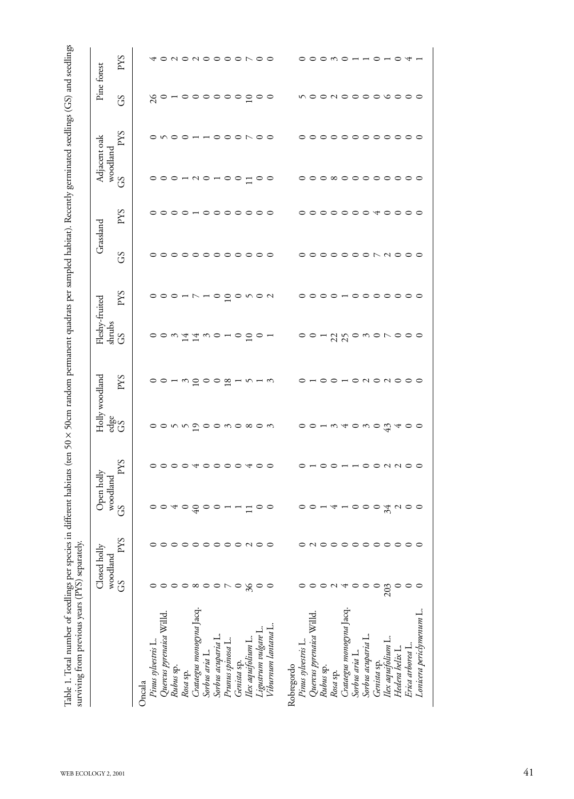|                                   | Closed holly<br>woodland                     |            | Open holly woodland            |              |                           | Holly woodland          | Fleshy-fruited                        |              | Grassland     |     | Adjacent oak<br>woodland |                       | Pine forest                                                           |
|-----------------------------------|----------------------------------------------|------------|--------------------------------|--------------|---------------------------|-------------------------|---------------------------------------|--------------|---------------|-----|--------------------------|-----------------------|-----------------------------------------------------------------------|
|                                   | GS                                           | SAd        | $\mathcal{S}$                  | SAd          | မ္မီး                     | PYS                     | $\frac{\text{d}m\text{d}s}{\text{G}}$ | <b>SXd</b>   | $\mathcal{S}$ | PYS | $\mathcal{S}$            | <b>SXd</b>            | $\mathcal{S}$                                                         |
| Oncala                            |                                              |            |                                |              |                           |                         |                                       |              |               |     |                          |                       |                                                                       |
| Pinus sylvestris L.               | $\circ$                                      |            |                                |              |                           |                         |                                       |              |               |     |                          |                       |                                                                       |
| Quercus pyrenaica Willd           | $\circ$                                      | $\circ$    |                                |              |                           |                         |                                       |              |               |     |                          |                       |                                                                       |
| Rubus sp.                         |                                              |            |                                |              |                           |                         |                                       |              |               |     |                          |                       |                                                                       |
| Rosa sp.                          |                                              |            |                                |              |                           |                         |                                       |              |               |     |                          |                       |                                                                       |
| Crataegus monogyna Jacq.          |                                              |            |                                |              |                           |                         |                                       |              |               |     |                          |                       |                                                                       |
| Sorbus aria L.                    |                                              |            |                                |              |                           |                         |                                       |              |               |     |                          |                       |                                                                       |
| Sorbus acuparia L.                | $\circ \circ \circ \circ \circ \circ \wedge$ | 0000000000 | $0040900 - 100$                | 00000000000  |                           |                         | oow 11 worogor                        |              |               |     | $000 - 00 - 00 - 00$     | o no o – – o o o No o | $8^{\circ}$ - $\circ$ $\circ$ $\circ$ $\circ$ $\circ$ $\circ$ $\circ$ |
| Prunus spinosa L.                 |                                              |            |                                |              |                           |                         |                                       |              |               |     |                          |                       |                                                                       |
| Genista sp.                       | $\circ$                                      |            |                                |              |                           |                         |                                       |              |               |     |                          |                       |                                                                       |
| Ilex aquifolium L.                | 36                                           |            |                                |              |                           |                         |                                       |              |               |     |                          |                       |                                                                       |
| Ligustrum vulgare L.              | $\circ$                                      |            |                                |              |                           |                         |                                       |              |               |     |                          |                       |                                                                       |
| Viburnum lantana L.               |                                              |            |                                |              |                           | oo - mgo o g - n - m    |                                       | 000-N-000WON |               |     |                          |                       |                                                                       |
| Pinus sylvestris L.<br>Robregordo | っ                                            | っ          |                                |              | oonnaoowoxow oo-waowodaoo |                         | $00 - 20000000000$                    |              |               |     |                          |                       |                                                                       |
|                                   |                                              |            |                                |              |                           |                         |                                       |              |               |     |                          |                       |                                                                       |
| Quercus pyrenaica Willd           | $\circ$                                      |            |                                |              |                           |                         |                                       |              |               |     |                          |                       |                                                                       |
| Rubus sp.                         |                                              |            |                                |              |                           |                         |                                       |              |               |     |                          |                       |                                                                       |
| Rosa sp.                          | $\sim$                                       |            |                                |              |                           |                         |                                       |              |               |     |                          |                       |                                                                       |
| Crataegus monogyna Jacq.          | $\overline{4}$                               |            |                                |              |                           |                         |                                       |              |               |     |                          |                       |                                                                       |
| Sorbus aria L.                    | $\circ$                                      |            |                                |              |                           |                         |                                       |              |               |     |                          |                       |                                                                       |
| Sorbus acuparia L.                | $\circ$                                      |            |                                |              |                           |                         |                                       |              |               |     |                          |                       |                                                                       |
| Genista sp.                       | $\circ$                                      |            |                                |              |                           |                         |                                       |              |               |     |                          |                       |                                                                       |
| Ilex aquifolium L.                |                                              |            |                                |              |                           |                         |                                       |              |               |     |                          |                       |                                                                       |
| Hedera helix L.                   |                                              |            |                                |              |                           |                         |                                       |              |               |     |                          |                       |                                                                       |
| Erica arborea L.                  | 203                                          | NO00000000 | $00 - 4 - 000$ $\pi$ $\sim$ 00 | 0-00--00NN00 |                           | o - o o - o n o n o o o |                                       |              | 0000000NN000  |     | °°°°°°°°°°°°             |                       | noonooooooo                                                           |
| Lonicera periclymenum L.          |                                              |            |                                |              |                           |                         |                                       |              |               |     |                          |                       |                                                                       |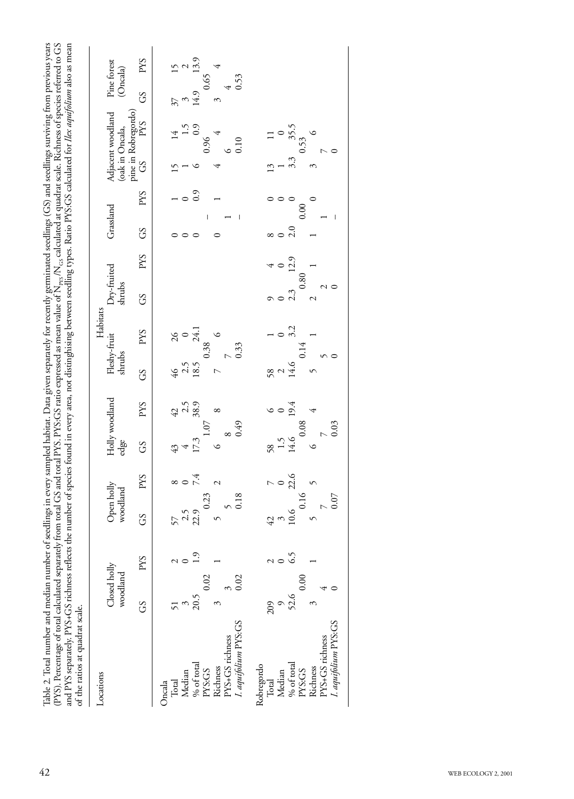| Locations            |                               |                  |                        |                      |                        |                         |                        | Habitats       |                       |         |                          |                     |                 |                               |                         |
|----------------------|-------------------------------|------------------|------------------------|----------------------|------------------------|-------------------------|------------------------|----------------|-----------------------|---------|--------------------------|---------------------|-----------------|-------------------------------|-------------------------|
|                      | Closed holly<br>woodland      |                  | Open holly<br>woodland |                      | Holly woodland<br>edge |                         | Fleshy-fruit<br>shrubs |                | Dry-fruited<br>shrubs |         | Grassland                |                     | (oak in Oncala, | Adjacent woodland             | Pine forest<br>(Oncala) |
|                      | <b>SS</b>                     | <b>SXd</b>       | GS                     | <b>SXd</b>           | <b>GS</b>              | <b>PYS</b>              | 3C                     | PYS            | <b>S</b>              | SAd     | GS                       | <b>SAd</b>          |                 | pine in Robregordo)<br>GS PYS | G <sub>S</sub>          |
| Oncala               |                               |                  |                        |                      |                        |                         |                        |                |                       |         |                          |                     |                 |                               |                         |
| Total                | 51                            | $\sim$ 0         | $57$<br>$2.5$<br>$2.5$ | $\frac{p}{4}$ 0 8    | 43                     | $42$<br>$2.5$<br>$38.9$ | $\frac{46}{2.5}$       | $\frac{26}{9}$ |                       |         | $\circ$                  |                     | 5T              |                               |                         |
| Median               | $\frac{3}{20.5}$              |                  |                        |                      |                        |                         |                        |                |                       |         | $\circ$                  | $\circ$             |                 | 1.5                           |                         |
| $%$ of total         |                               | $\overline{1.9}$ |                        |                      | 17.3                   |                         |                        | 24.1           |                       |         |                          | 0.9                 |                 | 0.9                           | 14.9                    |
| Richness<br>PYS:GS   | 0.02<br>$\tilde{\mathcal{E}}$ |                  | 0.23                   |                      | ৩                      | $\infty$                | $\overline{ }$         | 0.38           |                       |         |                          |                     | 4               | 0.96                          | 0.65<br>3               |
| PYS+GS richness      |                               |                  |                        |                      |                        |                         |                        |                |                       |         |                          |                     | $\circ$         |                               |                         |
| I. aquifolium PYS:GS | $\frac{3}{0.02}$              |                  | $\frac{5}{0.18}$       |                      | ढ़<br>0.49             |                         |                        | 0.33           |                       |         |                          |                     |                 | 0.10                          | 0.53                    |
| Robregordo           |                               |                  |                        |                      |                        |                         |                        |                |                       |         |                          |                     |                 |                               |                         |
| Median<br>Total      | $\circ$<br>209                | $\sim$ 0         | $42$<br>$10.6$         | $\frac{7}{9}$ 0 22.6 | 1.5<br>58              | 60014                   | 58<br>$\mathcal{L}$    |                | $\circ$<br>$\circ$    | $\circ$ | $\infty$ $\circ$         | $\circ \circ \circ$ | $\frac{3}{2}$   | $\circ$                       |                         |
| % of total           | 52.6                          | 65               |                        |                      | 14.6                   |                         | 14.6                   | $0^{0.2}$      | 2.3                   | 12.9    | 2.0                      |                     | 3.3             | 35.5                          |                         |
| PYS:GS               | 0.00                          |                  | 0.16                   |                      | 0.08                   |                         |                        | 0.14           | 0.80                  |         |                          | 0.00                |                 | 0.53                          |                         |
| Richness             | 3                             |                  |                        |                      | $\circ$                |                         | 5                      |                | $\mathcal{L}$         |         |                          | $\circ$             | ξ               |                               |                         |
| PYS+GS richness      |                               |                  |                        |                      |                        |                         |                        |                |                       |         |                          |                     |                 |                               |                         |
| I. aquifolium PYS:GS | $\frac{4}{5}$                 |                  | $0.07\,$               |                      | 0.03                   |                         | $\sim$ 0               |                | $\sim$ 0              |         | $\overline{\phantom{a}}$ |                     | $\sim$ 0        |                               |                         |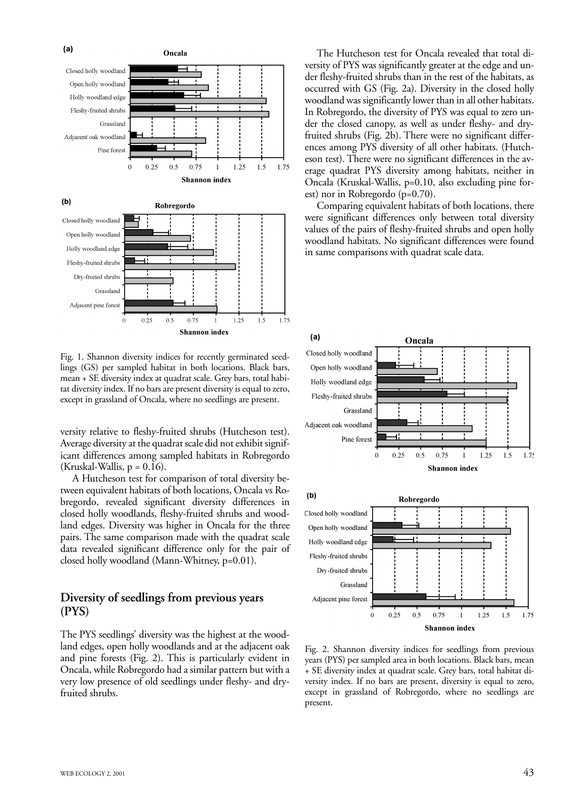

Fig. 1. Shannon diversity indices for recently germinated seedlings (GS) per sampled habitat in both locations. Black bars, mean + SE diversity index at quadrat scale. Grey bars, total habitat diversity index. If no bars are present diversity is equal to zero, except in grassland of Oncala, where no seedlings are present.

versity relative to fleshy-fruited shrubs (Hutcheson test). Average diversity at the quadrat scale did not exhibit significant differences among sampled habitats in Robregordo  $(Kruskal-Wallis, p = 0.16).$ 

A Hutcheson test for comparison of total diversity between equivalent habitats of both locations, Oncala vs Robregordo, revealed significant diversity differences in closed holly woodlands, fleshy-fruited shrubs and woodland edges. Diversity was higher in Oncala for the three pairs. The same comparison made with the quadrat scale data revealed significant difference only for the pair of closed holly woodland (Mann-Whitney, p=0.01).

#### **Diversity of seedlings from previous years (PYS)**

The PYS seedlings' diversity was the highest at the woodland edges, open holly woodlands and at the adjacent oak and pine forests (Fig. 2). This is particularly evident in Oncala, while Robregordo had a similar pattern but with a very low presence of old seedlings under fleshy- and dryfruited shrubs.

The Hutcheson test for Oncala revealed that total diversity of PYS was significantly greater at the edge and under fleshy-fruited shrubs than in the rest of the habitats, as occurred with GS (Fig. 2a). Diversity in the closed holly woodland was significantly lower than in all other habitats. In Robregordo, the diversity of PYS was equal to zero under the closed canopy, as well as under fleshy- and dryfruited shrubs (Fig. 2b). There were no significant differences among PYS diversity of all other habitats. (Hutcheson test). There were no significant differences in the average quadrat PYS diversity among habitats, neither in Oncala (Kruskal-Wallis, p=0.10, also excluding pine forest) nor in Robregordo (p=0.70).

Comparing equivalent habitats of both locations, there were significant differences only between total diversity values of the pairs of fleshy-fruited shrubs and open holly woodland habitats. No significant differences were found in same comparisons with quadrat scale data.



Fig. 2. Shannon diversity indices for seedlings from previous years (PYS) per sampled area in both locations. Black bars, mean + SE diversity index at quadrat scale. Grey bars, total habitat diversity index. If no bars are present, diversity is equal to zero, except in grassland of Robregordo, where no seedlings are present.

 $0.5$ 

 $\overline{0}$ 

0.25

0.75

Shannon index

1.25

 $1.5$ 

1.75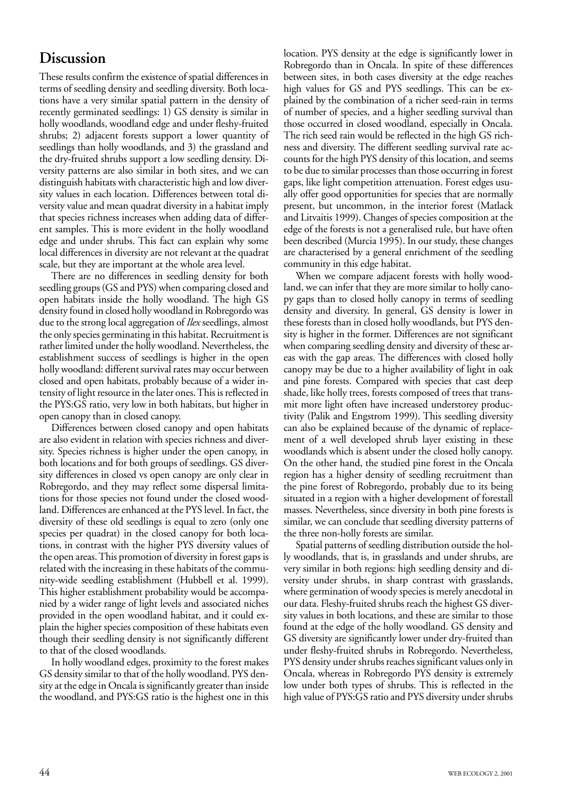## **Discussion**

These results confirm the existence of spatial differences in terms of seedling density and seedling diversity. Both locations have a very similar spatial pattern in the density of recently germinated seedlings: 1) GS density is similar in holly woodlands, woodland edge and under fleshy-fruited shrubs; 2) adjacent forests support a lower quantity of seedlings than holly woodlands, and 3) the grassland and the dry-fruited shrubs support a low seedling density. Diversity patterns are also similar in both sites, and we can distinguish habitats with characteristic high and low diversity values in each location. Differences between total diversity value and mean quadrat diversity in a habitat imply that species richness increases when adding data of different samples. This is more evident in the holly woodland edge and under shrubs. This fact can explain why some local differences in diversity are not relevant at the quadrat scale, but they are important at the whole area level.

There are no differences in seedling density for both seedling groups (GS and PYS) when comparing closed and open habitats inside the holly woodland. The high GS density found in closed holly woodland in Robregordo was due to the strong local aggregation of *Ilex* seedlings, almost the only species germinating in this habitat. Recruitment is rather limited under the holly woodland. Nevertheless, the establishment success of seedlings is higher in the open holly woodland: different survival rates may occur between closed and open habitats, probably because of a wider intensity of light resource in the later ones. This is reflected in the PYS:GS ratio, very low in both habitats, but higher in open canopy than in closed canopy.

Differences between closed canopy and open habitats are also evident in relation with species richness and diversity. Species richness is higher under the open canopy, in both locations and for both groups of seedlings. GS diversity differences in closed vs open canopy are only clear in Robregordo, and they may reflect some dispersal limitations for those species not found under the closed woodland. Differences are enhanced at the PYS level. In fact, the diversity of these old seedlings is equal to zero (only one species per quadrat) in the closed canopy for both locations, in contrast with the higher PYS diversity values of the open areas. This promotion of diversity in forest gaps is related with the increasing in these habitats of the community-wide seedling establishment (Hubbell et al. 1999). This higher establishment probability would be accompanied by a wider range of light levels and associated niches provided in the open woodland habitat, and it could explain the higher species composition of these habitats even though their seedling density is not significantly different to that of the closed woodlands.

In holly woodland edges, proximity to the forest makes GS density similar to that of the holly woodland. PYS density at the edge in Oncala is significantly greater than inside the woodland, and PYS:GS ratio is the highest one in this

location. PYS density at the edge is significantly lower in Robregordo than in Oncala. In spite of these differences between sites, in both cases diversity at the edge reaches high values for GS and PYS seedlings. This can be explained by the combination of a richer seed-rain in terms of number of species, and a higher seedling survival than those occurred in closed woodland, especially in Oncala. The rich seed rain would be reflected in the high GS richness and diversity. The different seedling survival rate accounts for the high PYS density of this location, and seems to be due to similar processes than those occurring in forest gaps, like light competition attenuation. Forest edges usually offer good opportunities for species that are normally present, but uncommon, in the interior forest (Matlack and Litvaitis 1999). Changes of species composition at the edge of the forests is not a generalised rule, but have often been described (Murcia 1995). In our study, these changes are characterised by a general enrichment of the seedling community in this edge habitat.

When we compare adjacent forests with holly woodland, we can infer that they are more similar to holly canopy gaps than to closed holly canopy in terms of seedling density and diversity. In general, GS density is lower in these forests than in closed holly woodlands, but PYS density is higher in the former. Differences are not significant when comparing seedling density and diversity of these areas with the gap areas. The differences with closed holly canopy may be due to a higher availability of light in oak and pine forests. Compared with species that cast deep shade, like holly trees, forests composed of trees that transmit more light often have increased understorey productivity (Palik and Engstrom 1999). This seedling diversity can also be explained because of the dynamic of replacement of a well developed shrub layer existing in these woodlands which is absent under the closed holly canopy. On the other hand, the studied pine forest in the Oncala region has a higher density of seedling recruitment than the pine forest of Robregordo, probably due to its being situated in a region with a higher development of forestall masses. Nevertheless, since diversity in both pine forests is similar, we can conclude that seedling diversity patterns of the three non-holly forests are similar.

Spatial patterns of seedling distribution outside the holly woodlands, that is, in grasslands and under shrubs, are very similar in both regions: high seedling density and diversity under shrubs, in sharp contrast with grasslands, where germination of woody species is merely anecdotal in our data. Fleshy-fruited shrubs reach the highest GS diversity values in both locations, and these are similar to those found at the edge of the holly woodland. GS density and GS diversity are significantly lower under dry-fruited than under fleshy-fruited shrubs in Robregordo. Nevertheless, PYS density under shrubs reaches significant values only in Oncala, whereas in Robregordo PYS density is extremely low under both types of shrubs. This is reflected in the high value of PYS:GS ratio and PYS diversity under shrubs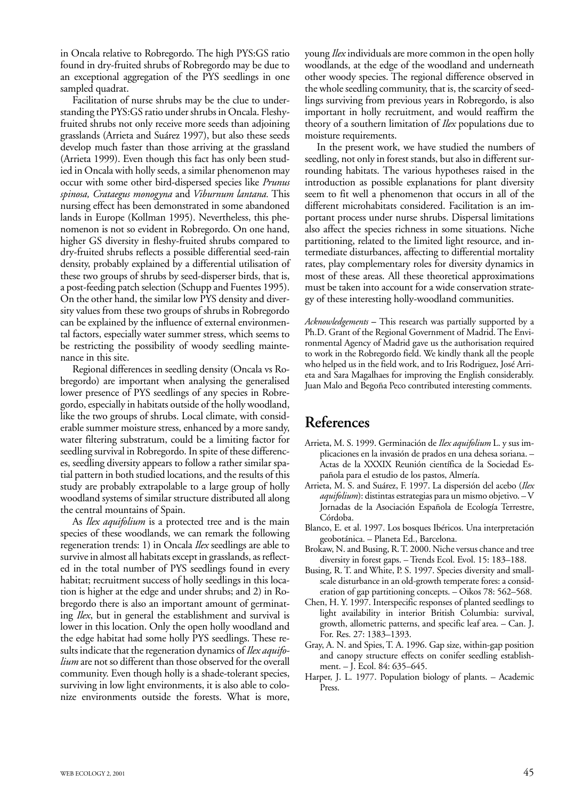in Oncala relative to Robregordo. The high PYS:GS ratio found in dry-fruited shrubs of Robregordo may be due to an exceptional aggregation of the PYS seedlings in one sampled quadrat.

Facilitation of nurse shrubs may be the clue to understanding the PYS:GS ratio under shrubs in Oncala. Fleshyfruited shrubs not only receive more seeds than adjoining grasslands (Arrieta and Suárez 1997), but also these seeds develop much faster than those arriving at the grassland (Arrieta 1999). Even though this fact has only been studied in Oncala with holly seeds, a similar phenomenon may occur with some other bird-dispersed species like *Prunus spinosa, Crataegus monogyna* and *Viburnum lantana.* This nursing effect has been demonstrated in some abandoned lands in Europe (Kollman 1995). Nevertheless, this phenomenon is not so evident in Robregordo. On one hand, higher GS diversity in fleshy-fruited shrubs compared to dry-fruited shrubs reflects a possible differential seed-rain density, probably explained by a differential utilisation of these two groups of shrubs by seed-disperser birds, that is, a post-feeding patch selection (Schupp and Fuentes 1995). On the other hand, the similar low PYS density and diversity values from these two groups of shrubs in Robregordo can be explained by the influence of external environmental factors, especially water summer stress, which seems to be restricting the possibility of woody seedling maintenance in this site.

Regional differences in seedling density (Oncala vs Robregordo) are important when analysing the generalised lower presence of PYS seedlings of any species in Robregordo, especially in habitats outside of the holly woodland, like the two groups of shrubs. Local climate, with considerable summer moisture stress, enhanced by a more sandy, water filtering substratum, could be a limiting factor for seedling survival in Robregordo. In spite of these differences, seedling diversity appears to follow a rather similar spatial pattern in both studied locations, and the results of this study are probably extrapolable to a large group of holly woodland systems of similar structure distributed all along the central mountains of Spain.

As *Ilex aquifolium* is a protected tree and is the main species of these woodlands, we can remark the following regeneration trends: 1) in Oncala *Ilex* seedlings are able to survive in almost all habitats except in grasslands, as reflected in the total number of PYS seedlings found in every habitat; recruitment success of holly seedlings in this location is higher at the edge and under shrubs; and 2) in Robregordo there is also an important amount of germinating *Ilex*, but in general the establishment and survival is lower in this location. Only the open holly woodland and the edge habitat had some holly PYS seedlings. These results indicate that the regeneration dynamics of *Ilex aquifolium* are not so different than those observed for the overall community. Even though holly is a shade-tolerant species, surviving in low light environments, it is also able to colonize environments outside the forests. What is more, young *Ilex* individuals are more common in the open holly woodlands, at the edge of the woodland and underneath other woody species. The regional difference observed in the whole seedling community, that is, the scarcity of seedlings surviving from previous years in Robregordo, is also important in holly recruitment, and would reaffirm the theory of a southern limitation of *Ilex* populations due to moisture requirements.

In the present work, we have studied the numbers of seedling, not only in forest stands, but also in different surrounding habitats. The various hypotheses raised in the introduction as possible explanations for plant diversity seem to fit well a phenomenon that occurs in all of the different microhabitats considered. Facilitation is an important process under nurse shrubs. Dispersal limitations also affect the species richness in some situations. Niche partitioning, related to the limited light resource, and intermediate disturbances, affecting to differential mortality rates, play complementary roles for diversity dynamics in most of these areas. All these theoretical approximations must be taken into account for a wide conservation strategy of these interesting holly-woodland communities.

*Acknowledgements* **–** This research was partially supported by a Ph.D. Grant of the Regional Government of Madrid. The Environmental Agency of Madrid gave us the authorisation required to work in the Robregordo field. We kindly thank all the people who helped us in the field work, and to Iris Rodriguez, José Arrieta and Sara Magalhaes for improving the English considerably. Juan Malo and Begoña Peco contributed interesting comments.

### **References**

- Arrieta, M. S. 1999. Germinación de *Ilex aquifolium* L. y sus implicaciones en la invasión de prados en una dehesa soriana. – Actas de la XXXIX Reunión científica de la Sociedad Española para el estudio de los pastos, Almería.
- Arrieta, M. S. and Suárez, F. 1997. La dispersión del acebo (*Ilex aquifolium*): distintas estrategias para un mismo objetivo. – V Jornadas de la Asociación Española de Ecología Terrestre, Córdoba.
- Blanco, E. et al. 1997. Los bosques Ibéricos. Una interpretación geobotánica. – Planeta Ed., Barcelona.
- Brokaw, N. and Busing, R. T. 2000. Niche versus chance and tree diversity in forest gaps. – Trends Ecol. Evol. 15: 183–188.
- Busing, R. T. and White, P. S. 1997. Species diversity and smallscale disturbance in an old-growth temperate fores: a consideration of gap partitioning concepts. – Oikos 78: 562–568.
- Chen, H. Y. 1997. Interspecific responses of planted seedlings to light availability in interior British Columbia: survival, growth, allometric patterns, and specific leaf area. – Can. J. For. Res. 27: 1383–1393.
- Gray, A. N. and Spies, T. A. 1996. Gap size, within-gap position and canopy structure effects on conifer seedling establishment. – J. Ecol. 84: 635–645.
- Harper, J. L. 1977. Population biology of plants. Academic Press.